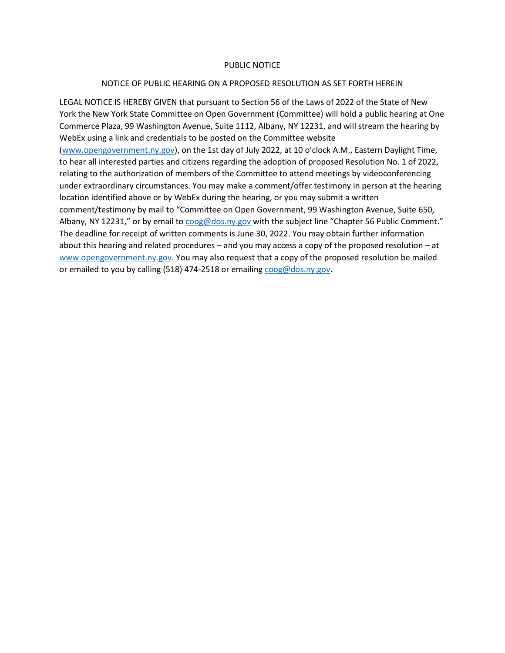## PUBLIC NOTICE

## NOTICE OF PUBLIC HEARING ON A PROPOSED RESOLUTION AS SET FORTH HEREIN

LEGAL NOTICE IS HEREBY GIVEN that pursuant to Section 56 of the Laws of 2022 of the State of New York the New York State Committee on Open Government (Committee) will hold a public hearing at One Commerce Plaza, 99 Washington Avenue, Suite 1112, Albany, NY 12231, and will stream the hearing by WebEx using a link and credentials to be posted on the Committee website

[\(www.opengovernment.ny.gov\)](http://www.opengovernment.ny.gov/), on the 1st day of July 2022, at 10 o'clock A.M., Eastern Daylight Time, to hear all interested parties and citizens regarding the adoption of proposed Resolution No. 1 of 2022, relating to the authorization of members of the Committee to attend meetings by videoconferencing under extraordinary circumstances. You may make a comment/offer testimony in person at the hearing location identified above or by WebEx during the hearing, or you may submit a written comment/testimony by mail to "Committee on Open Government, 99 Washington Avenue, Suite 650, Albany, NY 12231," or by email to [coog@dos.ny.gov](mailto:coog@dos.ny.gov) with the subject line "Chapter 56 Public Comment." The deadline for receipt of written comments is June 30, 2022. You may obtain further information about this hearing and related procedures – and you may access a copy of the proposed resolution – at [www.opengovernment.ny.gov.](http://www.opengovernment.ny.gov/) You may also request that a copy of the proposed resolution be mailed or emailed to you by calling (518) 474-2518 or emailing [coog@dos.ny.gov.](mailto:coog@dos.ny.gov)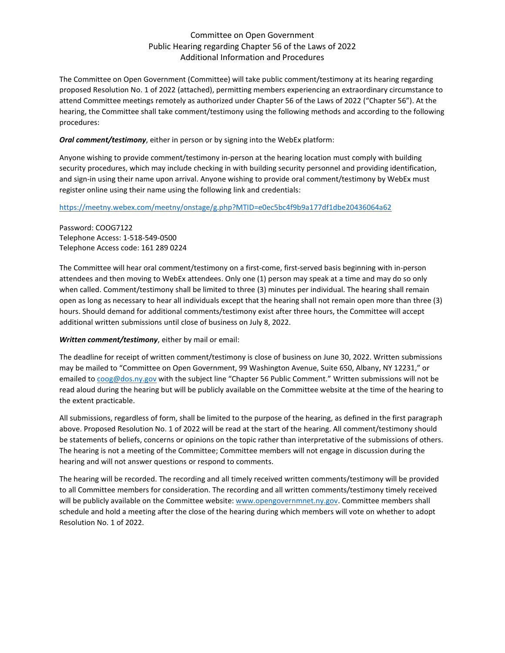# Committee on Open Government Public Hearing regarding Chapter 56 of the Laws of 2022 Additional Information and Procedures

The Committee on Open Government (Committee) will take public comment/testimony at its hearing regarding proposed Resolution No. 1 of 2022 (attached), permitting members experiencing an extraordinary circumstance to attend Committee meetings remotely as authorized under Chapter 56 of the Laws of 2022 ("Chapter 56"). At the hearing, the Committee shall take comment/testimony using the following methods and according to the following procedures:

#### *Oral comment/testimony*, either in person or by signing into the WebEx platform:

Anyone wishing to provide comment/testimony in-person at the hearing location must comply with building security procedures, which may include checking in with building security personnel and providing identification, and sign-in using their name upon arrival. Anyone wishing to provide oral comment/testimony by WebEx must register online using their name using the following link and credentials:

#### <https://meetny.webex.com/meetny/onstage/g.php?MTID=e0ec5bc4f9b9a177df1dbe20436064a62>

Password: COOG7122 Telephone Access: 1-518-549-0500 Telephone Access code: 161 289 0224

The Committee will hear oral comment/testimony on a first-come, first-served basis beginning with in-person attendees and then moving to WebEx attendees. Only one (1) person may speak at a time and may do so only when called. Comment/testimony shall be limited to three (3) minutes per individual. The hearing shall remain open as long as necessary to hear all individuals except that the hearing shall not remain open more than three (3) hours. Should demand for additional comments/testimony exist after three hours, the Committee will accept additional written submissions until close of business on July 8, 2022.

### *Written comment/testimony*, either by mail or email:

The deadline for receipt of written comment/testimony is close of business on June 30, 2022. Written submissions may be mailed to "Committee on Open Government, 99 Washington Avenue, Suite 650, Albany, NY 12231," or emailed t[o coog@dos.ny.gov](mailto:coog@dos.ny.gov) with the subject line "Chapter 56 Public Comment." Written submissions will not be read aloud during the hearing but will be publicly available on the Committee website at the time of the hearing to the extent practicable.

All submissions, regardless of form, shall be limited to the purpose of the hearing, as defined in the first paragraph above. Proposed Resolution No. 1 of 2022 will be read at the start of the hearing. All comment/testimony should be statements of beliefs, concerns or opinions on the topic rather than interpretative of the submissions of others. The hearing is not a meeting of the Committee; Committee members will not engage in discussion during the hearing and will not answer questions or respond to comments.

The hearing will be recorded. The recording and all timely received written comments/testimony will be provided to all Committee members for consideration. The recording and all written comments/testimony timely received will be publicly available on the Committee website: [www.opengovernmnet.ny.gov.](http://www.opengovernmnet.ny.gov/) Committee members shall schedule and hold a meeting after the close of the hearing during which members will vote on whether to adopt Resolution No. 1 of 2022.